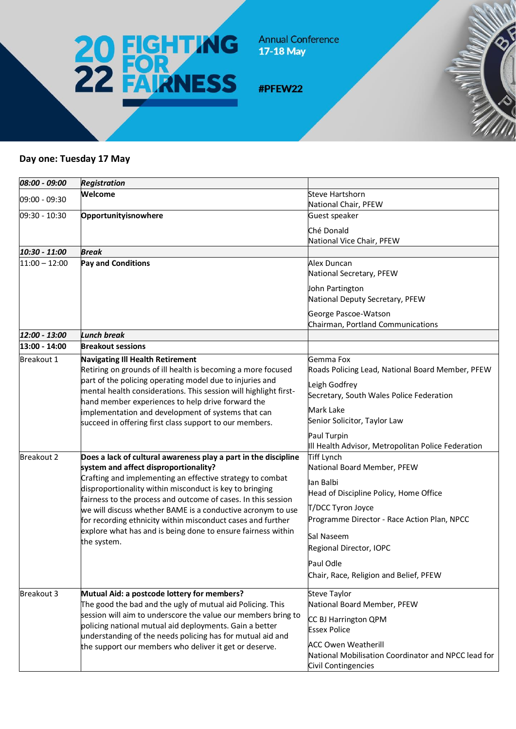

**Annual Conference** 17-18 May

#PFEW22

## **Day one: Tuesday 17 May**

| 08:00 - 09:00     | <b>Registration</b>                                                                                                                                                                                                                                                                                                                                           |                                                                         |
|-------------------|---------------------------------------------------------------------------------------------------------------------------------------------------------------------------------------------------------------------------------------------------------------------------------------------------------------------------------------------------------------|-------------------------------------------------------------------------|
| 09:00 - 09:30     | Welcome                                                                                                                                                                                                                                                                                                                                                       | <b>Steve Hartshorn</b>                                                  |
|                   |                                                                                                                                                                                                                                                                                                                                                               | National Chair, PFEW                                                    |
| 09:30 - 10:30     | Opportunityisnowhere                                                                                                                                                                                                                                                                                                                                          | Guest speaker                                                           |
|                   |                                                                                                                                                                                                                                                                                                                                                               | Ché Donald                                                              |
|                   |                                                                                                                                                                                                                                                                                                                                                               | National Vice Chair, PFEW                                               |
| 10:30 - 11:00     | <b>Break</b>                                                                                                                                                                                                                                                                                                                                                  |                                                                         |
| $11:00 - 12:00$   | <b>Pay and Conditions</b>                                                                                                                                                                                                                                                                                                                                     | Alex Duncan                                                             |
|                   |                                                                                                                                                                                                                                                                                                                                                               | National Secretary, PFEW                                                |
|                   |                                                                                                                                                                                                                                                                                                                                                               | John Partington                                                         |
|                   |                                                                                                                                                                                                                                                                                                                                                               | National Deputy Secretary, PFEW                                         |
|                   |                                                                                                                                                                                                                                                                                                                                                               | George Pascoe-Watson                                                    |
|                   |                                                                                                                                                                                                                                                                                                                                                               | Chairman, Portland Communications                                       |
| 12:00 - 13:00     | <b>Lunch break</b>                                                                                                                                                                                                                                                                                                                                            |                                                                         |
| 13:00 - 14:00     | <b>Breakout sessions</b>                                                                                                                                                                                                                                                                                                                                      |                                                                         |
| Breakout 1        | <b>Navigating III Health Retirement</b>                                                                                                                                                                                                                                                                                                                       | Gemma Fox                                                               |
|                   | Retiring on grounds of ill health is becoming a more focused                                                                                                                                                                                                                                                                                                  | Roads Policing Lead, National Board Member, PFEW                        |
|                   | part of the policing operating model due to injuries and                                                                                                                                                                                                                                                                                                      | Leigh Godfrey                                                           |
|                   | mental health considerations. This session will highlight first-                                                                                                                                                                                                                                                                                              | Secretary, South Wales Police Federation                                |
|                   | hand member experiences to help drive forward the                                                                                                                                                                                                                                                                                                             |                                                                         |
|                   | implementation and development of systems that can                                                                                                                                                                                                                                                                                                            | Mark Lake<br>Senior Solicitor, Taylor Law                               |
|                   | succeed in offering first class support to our members.                                                                                                                                                                                                                                                                                                       |                                                                         |
|                   |                                                                                                                                                                                                                                                                                                                                                               | Paul Turpin                                                             |
|                   |                                                                                                                                                                                                                                                                                                                                                               | III Health Advisor, Metropolitan Police Federation<br><b>Tiff Lynch</b> |
| <b>Breakout 2</b> | Does a lack of cultural awareness play a part in the discipline<br>system and affect disproportionality?                                                                                                                                                                                                                                                      | National Board Member, PFEW                                             |
|                   | Crafting and implementing an effective strategy to combat<br>disproportionality within misconduct is key to bringing<br>fairness to the process and outcome of cases. In this session                                                                                                                                                                         |                                                                         |
|                   |                                                                                                                                                                                                                                                                                                                                                               | lan Balbi                                                               |
|                   |                                                                                                                                                                                                                                                                                                                                                               | Head of Discipline Policy, Home Office                                  |
|                   | we will discuss whether BAME is a conductive acronym to use                                                                                                                                                                                                                                                                                                   | T/DCC Tyron Joyce                                                       |
|                   | for recording ethnicity within misconduct cases and further                                                                                                                                                                                                                                                                                                   | Programme Director - Race Action Plan, NPCC                             |
|                   | explore what has and is being done to ensure fairness within                                                                                                                                                                                                                                                                                                  | Sal Naseem                                                              |
|                   | the system.                                                                                                                                                                                                                                                                                                                                                   | Regional Director, IOPC                                                 |
|                   |                                                                                                                                                                                                                                                                                                                                                               |                                                                         |
|                   |                                                                                                                                                                                                                                                                                                                                                               | Paul Odle                                                               |
|                   |                                                                                                                                                                                                                                                                                                                                                               | Chair, Race, Religion and Belief, PFEW                                  |
| Breakout 3        | Mutual Aid: a postcode lottery for members?<br>The good the bad and the ugly of mutual aid Policing. This<br>session will aim to underscore the value our members bring to<br>policing national mutual aid deployments. Gain a better<br>understanding of the needs policing has for mutual aid and<br>the support our members who deliver it get or deserve. | <b>Steve Taylor</b>                                                     |
|                   |                                                                                                                                                                                                                                                                                                                                                               | National Board Member, PFEW                                             |
|                   |                                                                                                                                                                                                                                                                                                                                                               | CC BJ Harrington QPM                                                    |
|                   |                                                                                                                                                                                                                                                                                                                                                               | <b>Essex Police</b>                                                     |
|                   |                                                                                                                                                                                                                                                                                                                                                               | <b>ACC Owen Weatherill</b>                                              |
|                   |                                                                                                                                                                                                                                                                                                                                                               | National Mobilisation Coordinator and NPCC lead for                     |
|                   |                                                                                                                                                                                                                                                                                                                                                               | Civil Contingencies                                                     |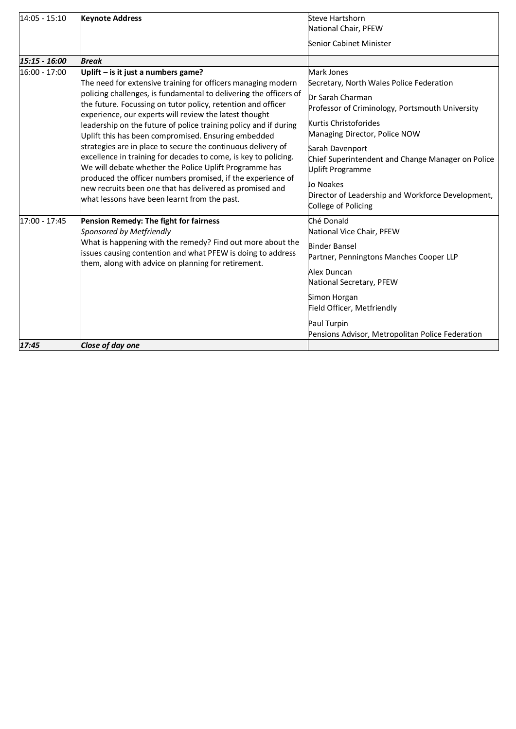| 14:05 - 15:10 | <b>Keynote Address</b>                                                                                                                                                                                                                                                                                                                                                                                                                                                                                                                                                                                                                                                                                                                                                                                | <b>Steve Hartshorn</b><br>National Chair, PFEW                                                                                                                                                                                                                                                                                                                                              |
|---------------|-------------------------------------------------------------------------------------------------------------------------------------------------------------------------------------------------------------------------------------------------------------------------------------------------------------------------------------------------------------------------------------------------------------------------------------------------------------------------------------------------------------------------------------------------------------------------------------------------------------------------------------------------------------------------------------------------------------------------------------------------------------------------------------------------------|---------------------------------------------------------------------------------------------------------------------------------------------------------------------------------------------------------------------------------------------------------------------------------------------------------------------------------------------------------------------------------------------|
|               |                                                                                                                                                                                                                                                                                                                                                                                                                                                                                                                                                                                                                                                                                                                                                                                                       | Senior Cabinet Minister                                                                                                                                                                                                                                                                                                                                                                     |
| 15:15 - 16:00 | <b>Break</b>                                                                                                                                                                                                                                                                                                                                                                                                                                                                                                                                                                                                                                                                                                                                                                                          |                                                                                                                                                                                                                                                                                                                                                                                             |
| 16:00 - 17:00 | Uplift - is it just a numbers game?<br>The need for extensive training for officers managing modern<br>policing challenges, is fundamental to delivering the officers of<br>the future. Focussing on tutor policy, retention and officer<br>experience, our experts will review the latest thought<br>leadership on the future of police training policy and if during<br>Uplift this has been compromised. Ensuring embedded<br>strategies are in place to secure the continuous delivery of<br>excellence in training for decades to come, is key to policing.<br>We will debate whether the Police Uplift Programme has<br>produced the officer numbers promised, if the experience of<br>new recruits been one that has delivered as promised and<br>what lessons have been learnt from the past. | Mark Jones<br>Secretary, North Wales Police Federation<br><b>IDr Sarah Charman</b><br>Professor of Criminology, Portsmouth University<br>Kurtis Christoforides<br>Managing Director, Police NOW<br>Sarah Davenport<br>Chief Superintendent and Change Manager on Police<br><b>Uplift Programme</b><br>Jo Noakes<br>Director of Leadership and Workforce Development,<br>College of Policing |
| 17:00 - 17:45 | Pension Remedy: The fight for fairness<br>Sponsored by Metfriendly<br>What is happening with the remedy? Find out more about the<br>issues causing contention and what PFEW is doing to address<br>them, along with advice on planning for retirement.                                                                                                                                                                                                                                                                                                                                                                                                                                                                                                                                                | Ché Donald<br>National Vice Chair, PFEW<br><b>Binder Bansel</b><br>Partner, Penningtons Manches Cooper LLP<br>Alex Duncan<br>National Secretary, PFEW<br>Simon Horgan<br>Field Officer, Metfriendly<br>Paul Turpin<br>Pensions Advisor, Metropolitan Police Federation                                                                                                                      |
| 17:45         | Close of day one                                                                                                                                                                                                                                                                                                                                                                                                                                                                                                                                                                                                                                                                                                                                                                                      |                                                                                                                                                                                                                                                                                                                                                                                             |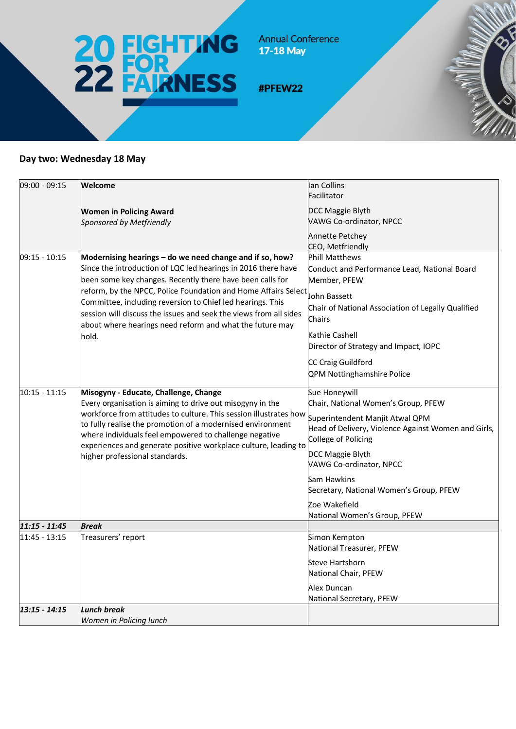

**Annual Conference** 17-18 May

#PFEW22

## **Day two: Wednesday 18 May**

| 09:00 - 09:15   | Welcome                                                                                                                                                                                                                                                                                                                                                                                                                                                 | lan Collins                                                                                                   |
|-----------------|---------------------------------------------------------------------------------------------------------------------------------------------------------------------------------------------------------------------------------------------------------------------------------------------------------------------------------------------------------------------------------------------------------------------------------------------------------|---------------------------------------------------------------------------------------------------------------|
|                 |                                                                                                                                                                                                                                                                                                                                                                                                                                                         | Facilitator                                                                                                   |
|                 | <b>Women in Policing Award</b>                                                                                                                                                                                                                                                                                                                                                                                                                          | DCC Maggie Blyth                                                                                              |
|                 | Sponsored by Metfriendly                                                                                                                                                                                                                                                                                                                                                                                                                                | VAWG Co-ordinator, NPCC                                                                                       |
|                 |                                                                                                                                                                                                                                                                                                                                                                                                                                                         | <b>Annette Petchey</b>                                                                                        |
|                 |                                                                                                                                                                                                                                                                                                                                                                                                                                                         | CEO, Metfriendly                                                                                              |
| 09:15 - 10:15   | Modernising hearings - do we need change and if so, how?<br>Since the introduction of LQC led hearings in 2016 there have<br>been some key changes. Recently there have been calls for<br>reform, by the NPCC, Police Foundation and Home Affairs Select<br>Committee, including reversion to Chief led hearings. This<br>session will discuss the issues and seek the views from all sides<br>about where hearings need reform and what the future may | <b>Phill Matthews</b><br>Conduct and Performance Lead, National Board<br>Member, PFEW                         |
|                 |                                                                                                                                                                                                                                                                                                                                                                                                                                                         | John Bassett<br>Chair of National Association of Legally Qualified<br>Chairs                                  |
|                 | hold.                                                                                                                                                                                                                                                                                                                                                                                                                                                   | Kathie Cashell                                                                                                |
|                 |                                                                                                                                                                                                                                                                                                                                                                                                                                                         | Director of Strategy and Impact, IOPC                                                                         |
|                 |                                                                                                                                                                                                                                                                                                                                                                                                                                                         | CC Craig Guildford<br>QPM Nottinghamshire Police                                                              |
| $10:15 - 11:15$ | Misogyny - Educate, Challenge, Change                                                                                                                                                                                                                                                                                                                                                                                                                   | Sue Honeywill                                                                                                 |
|                 | Every organisation is aiming to drive out misogyny in the<br>workforce from attitudes to culture. This session illustrates how<br>to fully realise the promotion of a modernised environment<br>where individuals feel empowered to challenge negative<br>experiences and generate positive workplace culture, leading to<br>higher professional standards.                                                                                             | Chair, National Women's Group, PFEW                                                                           |
|                 |                                                                                                                                                                                                                                                                                                                                                                                                                                                         | Superintendent Manjit Atwal QPM<br>Head of Delivery, Violence Against Women and Girls,<br>College of Policing |
|                 |                                                                                                                                                                                                                                                                                                                                                                                                                                                         | DCC Maggie Blyth<br>VAWG Co-ordinator, NPCC                                                                   |
|                 |                                                                                                                                                                                                                                                                                                                                                                                                                                                         | Sam Hawkins<br>Secretary, National Women's Group, PFEW                                                        |
|                 |                                                                                                                                                                                                                                                                                                                                                                                                                                                         | Zoe Wakefield<br>National Women's Group, PFEW                                                                 |
| $11:15 - 11:45$ | <b>Break</b>                                                                                                                                                                                                                                                                                                                                                                                                                                            |                                                                                                               |
| 11:45 - 13:15   | Treasurers' report                                                                                                                                                                                                                                                                                                                                                                                                                                      | Simon Kempton<br>National Treasurer, PFEW                                                                     |
|                 |                                                                                                                                                                                                                                                                                                                                                                                                                                                         | <b>Steve Hartshorn</b><br>National Chair, PFEW                                                                |
|                 |                                                                                                                                                                                                                                                                                                                                                                                                                                                         | Alex Duncan<br>National Secretary, PFEW                                                                       |
| $13:15 - 14:15$ | Lunch break<br>Women in Policing lunch                                                                                                                                                                                                                                                                                                                                                                                                                  |                                                                                                               |